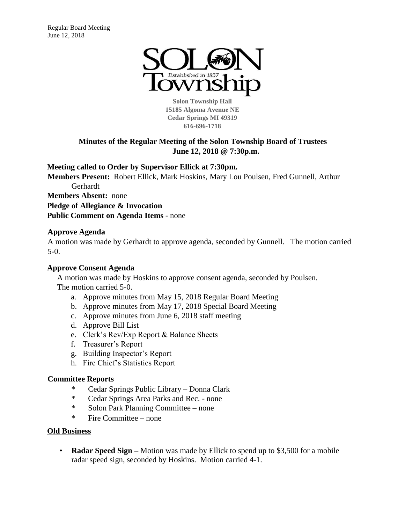

**Solon Township Hall 15185 Algoma Avenue NE Cedar Springs MI 49319 616-696-1718** 

# **Minutes of the Regular Meeting of the Solon Township Board of Trustees June 12, 2018 @ 7:30p.m.**

**Meeting called to Order by Supervisor Ellick at 7:30pm.** 

**Members Present:** Robert Ellick, Mark Hoskins, Mary Lou Poulsen, Fred Gunnell, Arthur Gerhardt

**Members Absent:** none

**Pledge of Allegiance & Invocation**

**Public Comment on Agenda Items** - none

## **Approve Agenda**

A motion was made by Gerhardt to approve agenda, seconded by Gunnell. The motion carried 5-0.

## **Approve Consent Agenda**

A motion was made by Hoskins to approve consent agenda, seconded by Poulsen. The motion carried 5-0.

- a. Approve minutes from May 15, 2018 Regular Board Meeting
- b. Approve minutes from May 17, 2018 Special Board Meeting
- c. Approve minutes from June 6, 2018 staff meeting
- d. Approve Bill List
- e. Clerk's Rev/Exp Report & Balance Sheets
- f. Treasurer's Report
- g. Building Inspector's Report
- h. Fire Chief's Statistics Report

## **Committee Reports**

- \* Cedar Springs Public Library Donna Clark
- \* Cedar Springs Area Parks and Rec. none
- \* Solon Park Planning Committee none
- \* Fire Committee none

## **Old Business**

• **Radar Speed Sign –** Motion was made by Ellick to spend up to \$3,500 for a mobile radar speed sign, seconded by Hoskins. Motion carried 4-1.